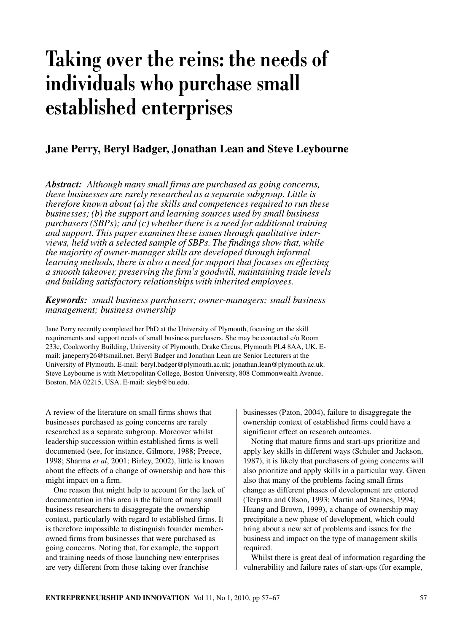# **Taking over the reins: the needs of individuals who purchase small established enterprises**

# **Jane Perry, Beryl Badger, Jonathan Lean and Steve Leybourne**

*Abstract: Although many small firms are purchased as going concerns, these businesses are rarely researched as a separate subgroup. Little is therefore known about (a) the skills and competences required to run these businesses; (b) the support and learning sources used by small business purchasers (SBPs); and (c) whether there is a need for additional training and support. This paper examines these issues through qualitative interviews, held with a selected sample of SBPs. The findings show that, while the majority of owner-manager skills are developed through informal learning methods, there is also a need for support that focuses on effecting a smooth takeover, preserving the firm's goodwill, maintaining trade levels and building satisfactory relationships with inherited employees.*

*Keywords: small business purchasers; owner-managers; small business management; business ownership*

Jane Perry recently completed her PhD at the University of Plymouth, focusing on the skill requirements and support needs of small business purchasers. She may be contacted c/o Room 233c, Cookworthy Building, University of Plymouth, Drake Circus, Plymouth PL4 8AA, UK. Email: janeperry26@fsmail.net. Beryl Badger and Jonathan Lean are Senior Lecturers at the University of Plymouth. E-mail: beryl.badger@plymouth.ac.uk; jonathan.lean@plymouth.ac.uk. Steve Leybourne is with Metropolitan College, Boston University, 808 Commonwealth Avenue, Boston, MA 02215, USA. E-mail: sleyb@bu.edu.

A review of the literature on small firms shows that businesses purchased as going concerns are rarely researched as a separate subgroup. Moreover whilst leadership succession within established firms is well documented (see, for instance, Gilmore, 1988; Preece, 1998; Sharma *et al*, 2001; Birley, 2002), little is known about the effects of a change of ownership and how this might impact on a firm.

One reason that might help to account for the lack of documentation in this area is the failure of many small business researchers to disaggregate the ownership context, particularly with regard to established firms. It is therefore impossible to distinguish founder memberowned firms from businesses that were purchased as going concerns. Noting that, for example, the support and training needs of those launching new enterprises are very different from those taking over franchise

businesses (Paton, 2004), failure to disaggregate the ownership context of established firms could have a significant effect on research outcomes.

Noting that mature firms and start-ups prioritize and apply key skills in different ways (Schuler and Jackson, 1987), it is likely that purchasers of going concerns will also prioritize and apply skills in a particular way. Given also that many of the problems facing small firms change as different phases of development are entered (Terpstra and Olson, 1993; Martin and Staines, 1994; Huang and Brown, 1999), a change of ownership may precipitate a new phase of development, which could bring about a new set of problems and issues for the business and impact on the type of management skills required.

Whilst there is great deal of information regarding the vulnerability and failure rates of start-ups (for example,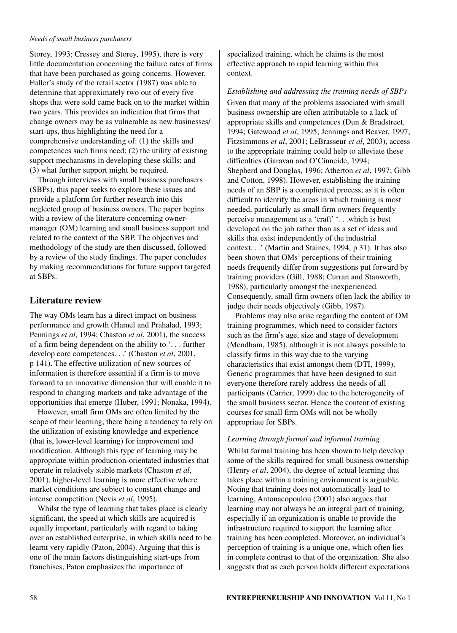Storey, 1993; Cressey and Storey, 1995), there is very little documentation concerning the failure rates of firms that have been purchased as going concerns. However, Fuller's study of the retail sector (1987) was able to determine that approximately two out of every five shops that were sold came back on to the market within two years. This provides an indication that firms that change owners may be as vulnerable as new businesses/ start-ups, thus highlighting the need for a comprehensive understanding of: (1) the skills and competences such firms need; (2) the utility of existing support mechanisms in developing these skills; and (3) what further support might be required.

Through interviews with small business purchasers (SBPs), this paper seeks to explore these issues and provide a platform for further research into this neglected group of business owners. The paper begins with a review of the literature concerning ownermanager (OM) learning and small business support and related to the context of the SBP. The objectives and methodology of the study are then discussed, followed by a review of the study findings. The paper concludes by making recommendations for future support targeted at SBPs.

# **Literature review**

The way OMs learn has a direct impact on business performance and growth (Hamel and Prahalad, 1993; Pennings *et al*, 1994; Chaston *et al*, 2001), the success of a firm being dependent on the ability to '. . . further develop core competences. . .' (Chaston *et al*, 2001, p 141). The effective utilization of new sources of information is therefore essential if a firm is to move forward to an innovative dimension that will enable it to respond to changing markets and take advantage of the opportunities that emerge (Huber, 1991; Nonaka, 1994).

However, small firm OMs are often limited by the scope of their learning, there being a tendency to rely on the utilization of existing knowledge and experience (that is, lower-level learning) for improvement and modification. Although this type of learning may be appropriate within production-orientated industries that operate in relatively stable markets (Chaston *et al*, 2001), higher-level learning is more effective where market conditions are subject to constant change and intense competition (Nevis *et al*, 1995).

Whilst the type of learning that takes place is clearly significant, the speed at which skills are acquired is equally important, particularly with regard to taking over an established enterprise, in which skills need to be learnt very rapidly (Paton, 2004). Arguing that this is one of the main factors distinguishing start-ups from franchises, Paton emphasizes the importance of

specialized training, which he claims is the most effective approach to rapid learning within this context.

*Establishing and addressing the training needs of SBPs* Given that many of the problems associated with small business ownership are often attributable to a lack of appropriate skills and competences (Dun & Bradstreet, 1994; Gatewood *et al*, 1995; Jennings and Beaver, 1997; Fitzsimmons *et al*, 2001; LeBrasseur *et al*, 2003), access to the appropriate training could help to alleviate these difficulties (Garavan and O'Cinneide, 1994; Shepherd and Douglas, 1996; Atherton *et al*, 1997; Gibb and Cotton, 1998). However, establishing the training needs of an SBP is a complicated process, as it is often difficult to identify the areas in which training is most needed, particularly as small firm owners frequently perceive management as a 'craft' '. . .which is best developed on the job rather than as a set of ideas and skills that exist independently of the industrial context. . .' (Martin and Staines, 1994, p 31). It has also been shown that OMs' perceptions of their training needs frequently differ from suggestions put forward by training providers (Gill, 1988; Curran and Stanworth, 1988), particularly amongst the inexperienced. Consequently, small firm owners often lack the ability to judge their needs objectively (Gibb, 1987).

Problems may also arise regarding the content of OM training programmes, which need to consider factors such as the firm's age, size and stage of development (Mendham, 1985), although it is not always possible to classify firms in this way due to the varying characteristics that exist amongst them (DTI, 1999). Generic programmes that have been designed to suit everyone therefore rarely address the needs of all participants (Carrier, 1999) due to the heterogeneity of the small business sector. Hence the content of existing courses for small firm OMs will not be wholly appropriate for SBPs.

### *Learning through formal and informal training*

Whilst formal training has been shown to help develop some of the skills required for small business ownership (Henry *et al*, 2004), the degree of actual learning that takes place within a training environment is arguable. Noting that training does not automatically lead to learning, Antonacopoulou (2001) also argues that learning may not always be an integral part of training, especially if an organization is unable to provide the infrastructure required to support the learning after training has been completed. Moreover, an individual's perception of training is a unique one, which often lies in complete contrast to that of the organization. She also suggests that as each person holds different expectations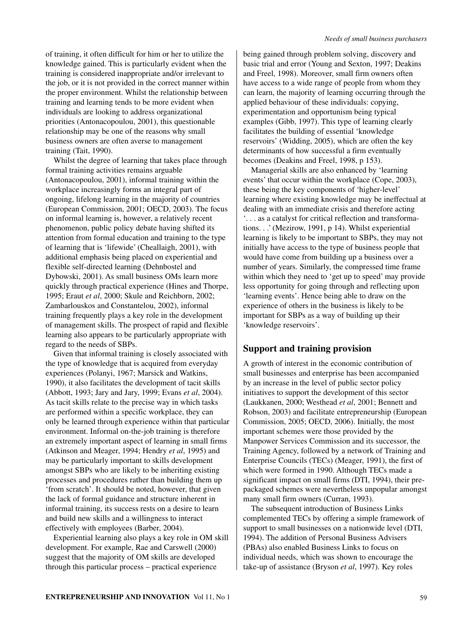of training, it often difficult for him or her to utilize the knowledge gained. This is particularly evident when the training is considered inappropriate and/or irrelevant to the job, or it is not provided in the correct manner within the proper environment. Whilst the relationship between training and learning tends to be more evident when individuals are looking to address organizational priorities (Antonacopoulou, 2001), this questionable relationship may be one of the reasons why small business owners are often averse to management training (Tait, 1990).

Whilst the degree of learning that takes place through formal training activities remains arguable (Antonacopoulou, 2001), informal training within the workplace increasingly forms an integral part of ongoing, lifelong learning in the majority of countries (European Commission, 2001; OECD, 2003). The focus on informal learning is, however, a relatively recent phenomenon, public policy debate having shifted its attention from formal education and training to the type of learning that is 'lifewide' (Cheallaigh, 2001), with additional emphasis being placed on experiential and flexible self-directed learning (Dehnbostel and Dybowski, 2001). As small business OMs learn more quickly through practical experience (Hines and Thorpe, 1995; Eraut *et al*, 2000; Skule and Reichborn, 2002; Zambarlouskos and Constantelou, 2002), informal training frequently plays a key role in the development of management skills. The prospect of rapid and flexible learning also appears to be particularly appropriate with regard to the needs of SBPs.

Given that informal training is closely associated with the type of knowledge that is acquired from everyday experiences (Polanyi, 1967; Marsick and Watkins, 1990), it also facilitates the development of tacit skills (Abbott, 1993; Jary and Jary, 1999; Evans *et al*, 2004). As tacit skills relate to the precise way in which tasks are performed within a specific workplace, they can only be learned through experience within that particular environment. Informal on-the-job training is therefore an extremely important aspect of learning in small firms (Atkinson and Meager, 1994; Hendry *et al*, 1995) and may be particularly important to skills development amongst SBPs who are likely to be inheriting existing processes and procedures rather than building them up 'from scratch'. It should be noted, however, that given the lack of formal guidance and structure inherent in informal training, its success rests on a desire to learn and build new skills and a willingness to interact effectively with employees (Barber, 2004).

Experiential learning also plays a key role in OM skill development. For example, Rae and Carswell (2000) suggest that the majority of OM skills are developed through this particular process – practical experience

being gained through problem solving, discovery and basic trial and error (Young and Sexton, 1997; Deakins and Freel, 1998). Moreover, small firm owners often have access to a wide range of people from whom they can learn, the majority of learning occurring through the applied behaviour of these individuals: copying, experimentation and opportunism being typical examples (Gibb, 1997). This type of learning clearly facilitates the building of essential 'knowledge reservoirs' (Widding, 2005), which are often the key determinants of how successful a firm eventually becomes (Deakins and Freel, 1998, p 153).

Managerial skills are also enhanced by 'learning events' that occur within the workplace (Cope, 2003), these being the key components of 'higher-level' learning where existing knowledge may be ineffectual at dealing with an immediate crisis and therefore acting '. . . as a catalyst for critical reflection and transformations. . .' (Mezirow, 1991, p 14). Whilst experiential learning is likely to be important to SBPs, they may not initially have access to the type of business people that would have come from building up a business over a number of years. Similarly, the compressed time frame within which they need to 'get up to speed' may provide less opportunity for going through and reflecting upon 'learning events'. Hence being able to draw on the experience of others in the business is likely to be important for SBPs as a way of building up their 'knowledge reservoirs'.

# **Support and training provision**

A growth of interest in the economic contribution of small businesses and enterprise has been accompanied by an increase in the level of public sector policy initiatives to support the development of this sector (Laukkanen, 2000; Westhead *et al*, 2001; Bennett and Robson, 2003) and facilitate entrepreneurship (European Commission, 2005; OECD, 2006). Initially, the most important schemes were those provided by the Manpower Services Commission and its successor, the Training Agency, followed by a network of Training and Enterprise Councils (TECs) (Meager, 1991), the first of which were formed in 1990. Although TECs made a significant impact on small firms (DTI, 1994), their prepackaged schemes were nevertheless unpopular amongst many small firm owners (Curran, 1993).

The subsequent introduction of Business Links complemented TECs by offering a simple framework of support to small businesses on a nationwide level (DTI, 1994). The addition of Personal Business Advisers (PBAs) also enabled Business Links to focus on individual needs, which was shown to encourage the take-up of assistance (Bryson *et al*, 1997). Key roles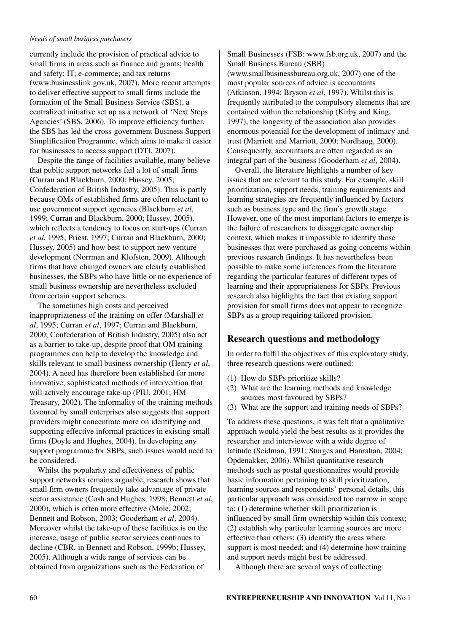currently include the provision of practical advice to small firms in areas such as finance and grants; health and safety; IT; e-commerce; and tax returns (www.businesslink.gov.uk, 2007). More recent attempts to deliver effective support to small firms include the formation of the Small Business Service (SBS), a centralized initiative set up as a network of 'Next Steps Agencies' (SBS, 2006). To improve efficiency further, the SBS has led the cross-government Business Support Simplification Programme, which aims to make it easier for businesses to access support (DTI, 2007).

Despite the range of facilities available, many believe that public support networks fail a lot of small firms (Curran and Blackburn, 2000; Hussey, 2005; Confederation of British Industry, 2005). This is partly because OMs of established firms are often reluctant to use government support agencies (Blackburn *et al*, 1999; Curran and Blackburn, 2000; Hussey, 2005), which reflects a tendency to focus on start-ups (Curran *et al*, 1995; Priest, 1997; Curran and Blackburn, 2000; Hussey, 2005) and how best to support new venture development (Norrman and Klofsten, 2009). Although firms that have changed owners are clearly established businesses, the SBPs who have little or no experience of small business ownership are nevertheless excluded from certain support schemes.

The sometimes high costs and perceived inappropriateness of the training on offer (Marshall *et al*, 1995; Curran *et al*, 1997; Curran and Blackburn, 2000; Confederation of British Industry, 2005) also act as a barrier to take-up, despite proof that OM training programmes can help to develop the knowledge and skills relevant to small business ownership (Henry *et al*, 2004). A need has therefore been established for more innovative, sophisticated methods of intervention that will actively encourage take-up (PIU, 2001; HM Treasury, 2002). The informality of the training methods favoured by small enterprises also suggests that support providers might concentrate more on identifying and supporting effective informal practices in existing small firms (Doyle and Hughes, 2004). In developing any support programme for SBPs, such issues would need to be considered.

Whilst the popularity and effectiveness of public support networks remains arguable, research shows that small firm owners frequently take advantage of private sector assistance (Cosh and Hughes, 1998; Bennett *et al*, 2000), which is often more effective (Mole, 2002; Bennett and Robson, 2003; Gooderham *et al*, 2004). Moreover whilst the take-up of these facilities is on the increase, usage of public sector services continues to decline (CBR, in Bennett and Robson, 1999b; Hussey, 2005). Although a wide range of services can be obtained from organizations such as the Federation of

Small Businesses (FSB: www.fsb.org.uk, 2007) and the Small Business Bureau (SBB)

(www.smallbusinessbureau.org.uk, 2007) one of the most popular sources of advice is accountants (Atkinson, 1994; Bryson *et al*, 1997). Whilst this is frequently attributed to the compulsory elements that are contained within the relationship (Kirby and King, 1997), the longevity of the association also provides enormous potential for the development of intimacy and trust (Marriott and Marriott, 2000; Nordhaug, 2000). Consequently, accountants are often regarded as an integral part of the business (Gooderham *et al*, 2004).

Overall, the literature highlights a number of key issues that are relevant to this study. For example, skill prioritization, support needs, training requirements and learning strategies are frequently influenced by factors such as business type and the firm's growth stage. However, one of the most important factors to emerge is the failure of researchers to disaggregate ownership context, which makes it impossible to identify those businesses that were purchased as going concerns within previous research findings. It has nevertheless been possible to make some inferences from the literature regarding the particular features of different types of learning and their appropriateness for SBPs. Previous research also highlights the fact that existing support provision for small firms does not appear to recognize SBPs as a group requiring tailored provision.

## **Research questions and methodology**

In order to fulfil the objectives of this exploratory study, three research questions were outlined:

- (1) How do SBPs prioritize skills?
- (2) What are the learning methods and knowledge sources most favoured by SBPs?
- (3) What are the support and training needs of SBPs?

To address these questions, it was felt that a qualitative approach would yield the best results as it provides the researcher and interviewee with a wide degree of latitude (Seidman, 1991; Sturges and Hanrahan, 2004; Opdenakker, 2006). Whilst quantitative research methods such as postal questionnaires would provide basic information pertaining to skill prioritization, learning sources and respondents' personal details, this particular approach was considered too narrow in scope to: (1) determine whether skill prioritization is influenced by small firm ownership within this context; (2) establish why particular learning sources are more effective than others; (3) identify the areas where support is most needed; and (4) determine how training and support needs might best be addressed.

Although there are several ways of collecting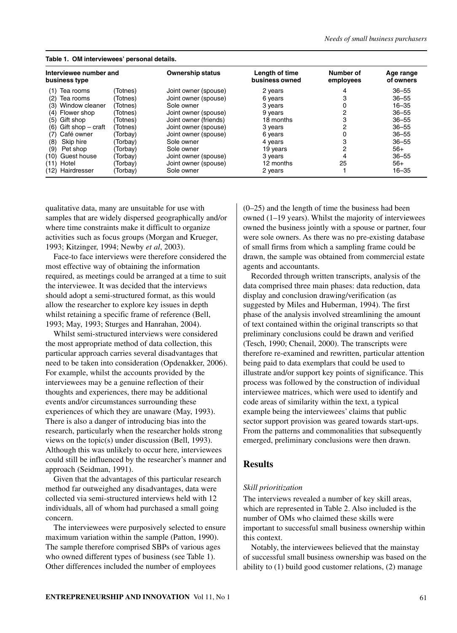| Table 1. OM interviewees' personal details. |                   |          |                         |                                  |                        |                        |  |
|---------------------------------------------|-------------------|----------|-------------------------|----------------------------------|------------------------|------------------------|--|
| Interviewee number and<br>business type     |                   |          | <b>Ownership status</b> | Length of time<br>business owned | Number of<br>employees | Age range<br>of owners |  |
| (1)                                         | Tea rooms         | (Totnes) | Joint owner (spouse)    | 2 years                          |                        | $36 - 55$              |  |
| (2)                                         | Tea rooms         | (Totnes  | Joint owner (spouse)    | 6 years                          | 3                      | $36 - 55$              |  |
| (3)                                         | Window cleaner    | (Totnes) | Sole owner              | 3 years                          |                        | $16 - 35$              |  |
|                                             | (4) Flower shop   | Totnes)  | Joint owner (spouse)    | 9 years                          |                        | $36 - 55$              |  |
| (5)                                         | Gift shop         | Totnes)  | Joint owner (friends)   | 18 months                        | 3                      | $36 - 55$              |  |
| (6)                                         | Gift shop – craft | (Totnes) | Joint owner (spouse)    | 3 years                          | 2                      | $36 - 55$              |  |
| (7)                                         | Café owner        | (Torbav) | Joint owner (spouse)    | 6 years                          |                        | $36 - 55$              |  |
| (8)                                         | Skip hire         | (Torbay) | Sole owner              | 4 years                          | 3                      | $36 - 55$              |  |
| (9)                                         | Pet shop          | Torbav)  | Sole owner              | 19 years                         | 2                      | $56+$                  |  |
| (10)                                        | Guest house       | Torbay)  | Joint owner (spouse)    | 3 years                          | 4                      | $36 - 55$              |  |
|                                             | $(11)$ Hotel      | Torbay)  | Joint owner (spouse)    | 12 months                        | 25                     | $56+$                  |  |
|                                             | (12) Hairdresser  | (Torbay) | Sole owner              | 2 years                          |                        | $16 - 35$              |  |

qualitative data, many are unsuitable for use with samples that are widely dispersed geographically and/or where time constraints make it difficult to organize activities such as focus groups (Morgan and Krueger, 1993; Kitzinger, 1994; Newby *et al*, 2003).

Face-to face interviews were therefore considered the most effective way of obtaining the information required, as meetings could be arranged at a time to suit the interviewee. It was decided that the interviews should adopt a semi-structured format, as this would allow the researcher to explore key issues in depth whilst retaining a specific frame of reference (Bell, 1993; May, 1993; Sturges and Hanrahan, 2004).

Whilst semi-structured interviews were considered the most appropriate method of data collection, this particular approach carries several disadvantages that need to be taken into consideration (Opdenakker, 2006). For example, whilst the accounts provided by the interviewees may be a genuine reflection of their thoughts and experiences, there may be additional events and/or circumstances surrounding these experiences of which they are unaware (May, 1993). There is also a danger of introducing bias into the research, particularly when the researcher holds strong views on the topic(s) under discussion (Bell, 1993). Although this was unlikely to occur here, interviewees could still be influenced by the researcher's manner and approach (Seidman, 1991).

Given that the advantages of this particular research method far outweighed any disadvantages, data were collected via semi-structured interviews held with 12 individuals, all of whom had purchased a small going concern.

The interviewees were purposively selected to ensure maximum variation within the sample (Patton, 1990). The sample therefore comprised SBPs of various ages who owned different types of business (see Table 1). Other differences included the number of employees

(0–25) and the length of time the business had been owned (1–19 years). Whilst the majority of interviewees owned the business jointly with a spouse or partner, four were sole owners. As there was no pre-existing database of small firms from which a sampling frame could be drawn, the sample was obtained from commercial estate agents and accountants.

Recorded through written transcripts, analysis of the data comprised three main phases: data reduction, data display and conclusion drawing/verification (as suggested by Miles and Huberman, 1994). The first phase of the analysis involved streamlining the amount of text contained within the original transcripts so that preliminary conclusions could be drawn and verified (Tesch, 1990; Chenail, 2000). The transcripts were therefore re-examined and rewritten, particular attention being paid to data exemplars that could be used to illustrate and/or support key points of significance. This process was followed by the construction of individual interviewee matrices, which were used to identify and code areas of similarity within the text, a typical example being the interviewees' claims that public sector support provision was geared towards start-ups. From the patterns and commonalities that subsequently emerged, preliminary conclusions were then drawn.

## **Results**

### *Skill prioritization*

The interviews revealed a number of key skill areas, which are represented in Table 2. Also included is the number of OMs who claimed these skills were important to successful small business ownership within this context.

Notably, the interviewees believed that the mainstay of successful small business ownership was based on the ability to (1) build good customer relations, (2) manage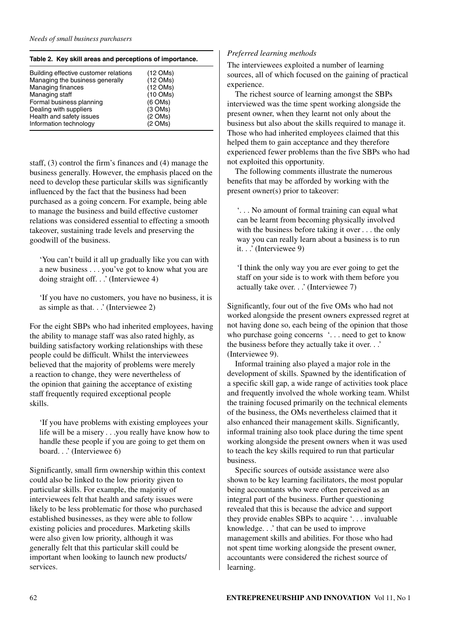| Table 2. Key skill areas and perceptions of importance. |            |  |  |  |  |
|---------------------------------------------------------|------------|--|--|--|--|
| Building effective customer relations                   | (12 OMs)   |  |  |  |  |
| Managing the business generally                         | (12 OMs)   |  |  |  |  |
| <b>Managing finances</b>                                | (12 OMs)   |  |  |  |  |
| Managing staff                                          | $(10$ OMs) |  |  |  |  |
| Formal business planning                                | (6 OMs)    |  |  |  |  |
| Dealing with suppliers                                  | (3 OMs)    |  |  |  |  |
| Health and safety issues                                | (2 OMs)    |  |  |  |  |
| Information technology                                  | (2 OMs)    |  |  |  |  |

staff, (3) control the firm's finances and (4) manage the business generally. However, the emphasis placed on the need to develop these particular skills was significantly influenced by the fact that the business had been purchased as a going concern. For example, being able to manage the business and build effective customer relations was considered essential to effecting a smooth takeover, sustaining trade levels and preserving the goodwill of the business.

'You can't build it all up gradually like you can with a new business . . . you've got to know what you are doing straight off. . .' (Interviewee 4)

'If you have no customers, you have no business, it is as simple as that. . .' (Interviewee 2)

For the eight SBPs who had inherited employees, having the ability to manage staff was also rated highly, as building satisfactory working relationships with these people could be difficult. Whilst the interviewees believed that the majority of problems were merely a reaction to change, they were nevertheless of the opinion that gaining the acceptance of existing staff frequently required exceptional people skills.

'If you have problems with existing employees your life will be a misery . . .you really have know how to handle these people if you are going to get them on board. . .' (Interviewee 6)

Significantly, small firm ownership within this context could also be linked to the low priority given to particular skills. For example, the majority of interviewees felt that health and safety issues were likely to be less problematic for those who purchased established businesses, as they were able to follow existing policies and procedures. Marketing skills were also given low priority, although it was generally felt that this particular skill could be important when looking to launch new products/ services.

# *Preferred learning methods*

The interviewees exploited a number of learning sources, all of which focused on the gaining of practical experience.

The richest source of learning amongst the SBPs interviewed was the time spent working alongside the present owner, when they learnt not only about the business but also about the skills required to manage it. Those who had inherited employees claimed that this helped them to gain acceptance and they therefore experienced fewer problems than the five SBPs who had not exploited this opportunity.

The following comments illustrate the numerous benefits that may be afforded by working with the present owner(s) prior to takeover:

'. . . No amount of formal training can equal what can be learnt from becoming physically involved with the business before taking it over . . . the only way you can really learn about a business is to run it. . .' (Interviewee 9)

'I think the only way you are ever going to get the staff on your side is to work with them before you actually take over. . .' (Interviewee 7)

Significantly, four out of the five OMs who had not worked alongside the present owners expressed regret at not having done so, each being of the opinion that those who purchase going concerns '... need to get to know the business before they actually take it over. . .' (Interviewee 9).

Informal training also played a major role in the development of skills. Spawned by the identification of a specific skill gap, a wide range of activities took place and frequently involved the whole working team. Whilst the training focused primarily on the technical elements of the business, the OMs nevertheless claimed that it also enhanced their management skills. Significantly, informal training also took place during the time spent working alongside the present owners when it was used to teach the key skills required to run that particular business.

Specific sources of outside assistance were also shown to be key learning facilitators, the most popular being accountants who were often perceived as an integral part of the business. Further questioning revealed that this is because the advice and support they provide enables SBPs to acquire '. . . invaluable knowledge. . .' that can be used to improve management skills and abilities. For those who had not spent time working alongside the present owner, accountants were considered the richest source of learning.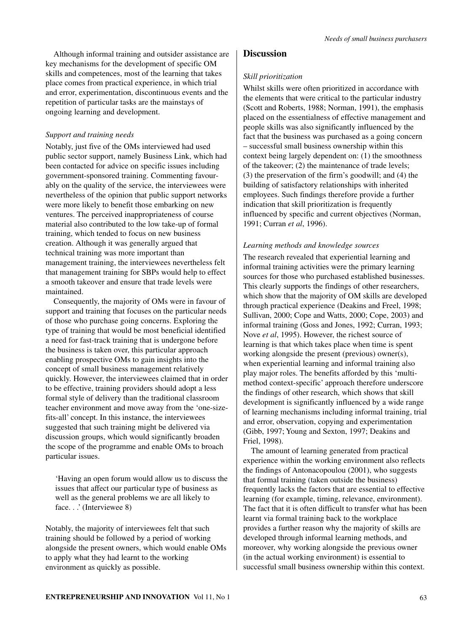Although informal training and outsider assistance are key mechanisms for the development of specific OM skills and competences, most of the learning that takes place comes from practical experience, in which trial and error, experimentation, discontinuous events and the repetition of particular tasks are the mainstays of ongoing learning and development.

## *Support and training needs*

Notably, just five of the OMs interviewed had used public sector support, namely Business Link, which had been contacted for advice on specific issues including government-sponsored training. Commenting favourably on the quality of the service, the interviewees were nevertheless of the opinion that public support networks were more likely to benefit those embarking on new ventures. The perceived inappropriateness of course material also contributed to the low take-up of formal training, which tended to focus on new business creation. Although it was generally argued that technical training was more important than management training, the interviewees nevertheless felt that management training for SBPs would help to effect a smooth takeover and ensure that trade levels were maintained.

Consequently, the majority of OMs were in favour of support and training that focuses on the particular needs of those who purchase going concerns. Exploring the type of training that would be most beneficial identified a need for fast-track training that is undergone before the business is taken over, this particular approach enabling prospective OMs to gain insights into the concept of small business management relatively quickly. However, the interviewees claimed that in order to be effective, training providers should adopt a less formal style of delivery than the traditional classroom teacher environment and move away from the 'one-sizefits-all' concept. In this instance, the interviewees suggested that such training might be delivered via discussion groups, which would significantly broaden the scope of the programme and enable OMs to broach particular issues.

'Having an open forum would allow us to discuss the issues that affect our particular type of business as well as the general problems we are all likely to face...' (Interviewee 8)

Notably, the majority of interviewees felt that such training should be followed by a period of working alongside the present owners, which would enable OMs to apply what they had learnt to the working environment as quickly as possible.

## **Discussion**

#### *Skill prioritization*

Whilst skills were often prioritized in accordance with the elements that were critical to the particular industry (Scott and Roberts, 1988; Norman, 1991), the emphasis placed on the essentialness of effective management and people skills was also significantly influenced by the fact that the business was purchased as a going concern – successful small business ownership within this context being largely dependent on: (1) the smoothness of the takeover; (2) the maintenance of trade levels; (3) the preservation of the firm's goodwill; and (4) the building of satisfactory relationships with inherited employees. Such findings therefore provide a further indication that skill prioritization is frequently influenced by specific and current objectives (Norman, 1991; Curran *et al*, 1996).

### *Learning methods and knowledge sources*

The research revealed that experiential learning and informal training activities were the primary learning sources for those who purchased established businesses. This clearly supports the findings of other researchers, which show that the majority of OM skills are developed through practical experience (Deakins and Freel, 1998; Sullivan, 2000; Cope and Watts, 2000; Cope, 2003) and informal training (Goss and Jones, 1992; Curran, 1993; Nove *et al*, 1995). However, the richest source of learning is that which takes place when time is spent working alongside the present (previous) owner(s), when experiential learning and informal training also play major roles. The benefits afforded by this 'multimethod context-specific' approach therefore underscore the findings of other research, which shows that skill development is significantly influenced by a wide range of learning mechanisms including informal training, trial and error, observation, copying and experimentation (Gibb, 1997; Young and Sexton, 1997; Deakins and Friel, 1998).

The amount of learning generated from practical experience within the working environment also reflects the findings of Antonacopoulou (2001), who suggests that formal training (taken outside the business) frequently lacks the factors that are essential to effective learning (for example, timing, relevance, environment). The fact that it is often difficult to transfer what has been learnt via formal training back to the workplace provides a further reason why the majority of skills are developed through informal learning methods, and moreover, why working alongside the previous owner (in the actual working environment) is essential to successful small business ownership within this context.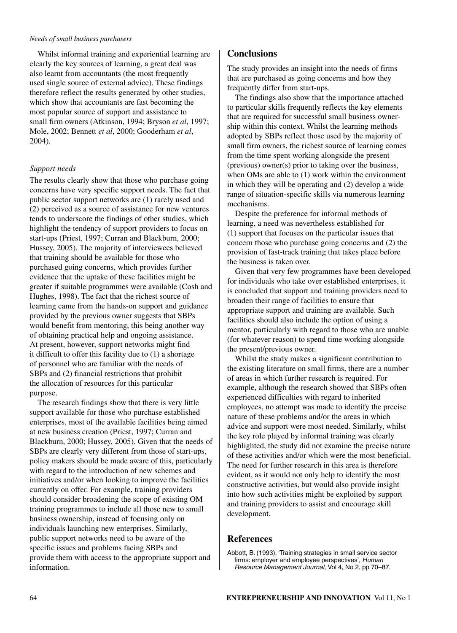Whilst informal training and experiential learning are clearly the key sources of learning, a great deal was also learnt from accountants (the most frequently used single source of external advice). These findings therefore reflect the results generated by other studies, which show that accountants are fast becoming the most popular source of support and assistance to small firm owners (Atkinson, 1994; Bryson *et al*, 1997; Mole, 2002; Bennett *et al*, 2000; Gooderham *et al*, 2004).

## *Support needs*

The results clearly show that those who purchase going concerns have very specific support needs. The fact that public sector support networks are (1) rarely used and (2) perceived as a source of assistance for new ventures tends to underscore the findings of other studies, which highlight the tendency of support providers to focus on start-ups (Priest, 1997; Curran and Blackburn, 2000; Hussey, 2005). The majority of interviewees believed that training should be available for those who purchased going concerns, which provides further evidence that the uptake of these facilities might be greater if suitable programmes were available (Cosh and Hughes, 1998). The fact that the richest source of learning came from the hands-on support and guidance provided by the previous owner suggests that SBPs would benefit from mentoring, this being another way of obtaining practical help and ongoing assistance. At present, however, support networks might find it difficult to offer this facility due to (1) a shortage of personnel who are familiar with the needs of SBPs and (2) financial restrictions that prohibit the allocation of resources for this particular purpose.

The research findings show that there is very little support available for those who purchase established enterprises, most of the available facilities being aimed at new business creation (Priest, 1997; Curran and Blackburn, 2000; Hussey, 2005). Given that the needs of SBPs are clearly very different from those of start-ups, policy makers should be made aware of this, particularly with regard to the introduction of new schemes and initiatives and/or when looking to improve the facilities currently on offer. For example, training providers should consider broadening the scope of existing OM training programmes to include all those new to small business ownership, instead of focusing only on individuals launching new enterprises. Similarly, public support networks need to be aware of the specific issues and problems facing SBPs and provide them with access to the appropriate support and information.

# **Conclusions**

The study provides an insight into the needs of firms that are purchased as going concerns and how they frequently differ from start-ups.

The findings also show that the importance attached to particular skills frequently reflects the key elements that are required for successful small business ownership within this context. Whilst the learning methods adopted by SBPs reflect those used by the majority of small firm owners, the richest source of learning comes from the time spent working alongside the present (previous) owner(s) prior to taking over the business, when OMs are able to (1) work within the environment in which they will be operating and (2) develop a wide range of situation-specific skills via numerous learning mechanisms.

Despite the preference for informal methods of learning, a need was nevertheless established for (1) support that focuses on the particular issues that concern those who purchase going concerns and (2) the provision of fast-track training that takes place before the business is taken over.

Given that very few programmes have been developed for individuals who take over established enterprises, it is concluded that support and training providers need to broaden their range of facilities to ensure that appropriate support and training are available. Such facilities should also include the option of using a mentor, particularly with regard to those who are unable (for whatever reason) to spend time working alongside the present/previous owner.

Whilst the study makes a significant contribution to the existing literature on small firms, there are a number of areas in which further research is required. For example, although the research showed that SBPs often experienced difficulties with regard to inherited employees, no attempt was made to identify the precise nature of these problems and/or the areas in which advice and support were most needed. Similarly, whilst the key role played by informal training was clearly highlighted, the study did not examine the precise nature of these activities and/or which were the most beneficial. The need for further research in this area is therefore evident, as it would not only help to identify the most constructive activities, but would also provide insight into how such activities might be exploited by support and training providers to assist and encourage skill development.

# **References**

Abbott, B. (1993), 'Training strategies in small service sector firms: employer and employee perspectives', Human Resource Management Journal, Vol 4, No 2, pp 70–87.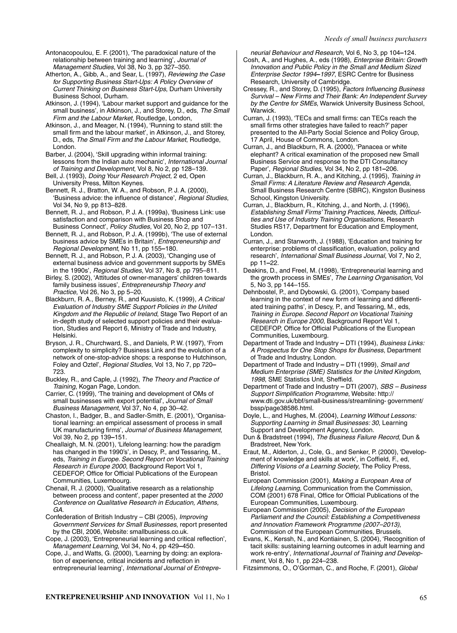Antonacopoulou, E. F. (2001), 'The paradoxical nature of the relationship between training and learning', Journal of Management Studies, Vol 38, No 3, pp 327–350.

Atherton, A., Gibb, A., and Sear, L. (1997), Reviewing the Case for Supporting Business Start-Ups: A Policy Overview of Current Thinking on Business Start-Ups, Durham University Business School, Durham.

Atkinson, J. (1994), 'Labour market support and guidance for the small business', in Atkinson, J., and Storey, D., eds, The Small Firm and the Labour Market, Routledge, London,

Atkinson, J., and Meager, N. (1994), 'Running to stand still: the small firm and the labour market', in Atkinson, J., and Storey, D., eds, The Small Firm and the Labour Market, Routledge, London.

Barber, J. (2004), 'Skill upgrading within informal training: lessons from the Indian auto mechanic', International Journal of Training and Development, Vol 8, No 2, pp 128–139.

Bell, J. (1993), Doing Your Research Project, 2 ed, Open University Press, Milton Keynes.

Bennett, R. J., Bratton, W. A., and Robson, P. J. A. (2000), 'Business advice: the influence of distance', Regional Studies, Vol 34, No 9, pp 813–828.

Bennett, R. J., and Robson, P. J. A. (1999a), 'Business Link: use satisfaction and comparison with Business Shop and Business Connect', Policy Studies, Vol 20, No 2, pp 107–131.

Bennett, R. J., and Robson, P. J. A. (1999b), 'The use of external business advice by SMEs in Britain', Entrepreneurship and Regional Development, No 11, pp 155**–**180.

Bennett, R. J., and Robson, P. J. A. (2003), 'Changing use of external business advice and government supports by SMEs in the 1990s', Regional Studies, Vol 37, No 8, pp 795–811.

Birley, S. (2002), 'Attitudes of owner-managers' children towards family business issues', Entrepreneurship Theory and Practice, Vol 26, No 3, pp 5–20.

Blackburn, R. A., Berney, R., and Kuusisto, K. (1999), A Critical Evaluation of Industry SME Support Policies in the United Kingdom and the Republic of Ireland, Stage Two Report of an in-depth study of selected support policies and their evaluation, Studies and Report 6, Ministry of Trade and Industry, Helsinki.

Bryson, J. R., Churchward, S., and Daniels, P. W. (1997), 'From complexity to simplicity? Business Link and the evolution of a network of one-stop-advice shops: a response to Hutchinson, Foley and Oztel', Regional Studies, Vol 13, No 7, pp 720**–** 723.

Buckley, R., and Caple, J. (1992), The Theory and Practice of Training, Kogan Page, London.

Carrier, C. (1999), 'The training and development of OMs of small businesses with export potential', Journal of Small Business Management, Vol 37, No 4, pp 30–42.

Chaston, I., Badger, B., and Sadler-Smith, E. (2001), 'Organisational learning: an empirical assessment of process in small UK manufacturing firms', Journal of Business Management, Vol 39, No 2, pp 139**–**151.

Cheallaigh, M. N. (2001), 'Lifelong learning: how the paradigm has changed in the 1990's', in Descy, P., and Tessaring, M., eds, Training in Europe. Second Report on Vocational Training Research in Europe 2000, Background Report Vol 1, CEDEFOP, Office for Official Publications of the European Communities, Luxembourg.

Chenail, R. J. (2000), 'Qualitative research as a relationship between process and content', paper presented at the 2000 Conference on Qualitative Research in Education, Athens, GA.

Confederation of British Industry – CBI (2005), Improving Government Services for Small Businesses, report presented by the CBI, 2006, Website: smallbusiness.co.uk.

Cope, J. (2003), 'Entrepreneurial learning and critical reflection', Management Learning, Vol 34, No 4, pp 429**–**450.

Cope, J., and Watts, G. (2000), 'Learning by doing: an exploration of experience, critical incidents and reflection in entrepreneurial learning', International Journal of Entrepreneurial Behaviour and Research, Vol 6, No 3, pp 104**–**124.

Cosh, A., and Hughes, A., eds (1998), Enterprise Britain: Growth Innovation and Public Policy in the Small and Medium Sized Enterprise Sector 1994**–**1997, ESRC Centre for Business Research, University of Cambridge.

Cressey, R., and Storey, D. (1995), Factors Influencing Business Survival – New Firms and Their Bank: An Independent Survey by the Centre for SMEs, Warwick University Business School, Warwick.

Curran, J. (1993), 'TECs and small firms: can TECs reach the small firms other strategies have failed to reach?' paper presented to the All-Party Social Science and Policy Group, 17 April, House of Commons, London.

Curran, J., and Blackburn, R. A. (2000), 'Panacea or white elephant? A critical examination of the proposed new Small Business Service and response to the DTI Consultancy Paper', Regional Studies, Vol 34, No 2, pp 181**–**206.

Curran, J., Blackburn, R. A., and Kitching, J. (1995), Training in Small Firms: A Literature Review and Research Agenda, Small Business Research Centre (SBRC), Kingston Business School, Kingston University.

Curran, J., Blackburn, R., Kitching, J., and North, J. (1996), Establishing Small Firms' Training Practices, Needs, Difficulties and Use of Industry Training Organisations, Research Studies RS17, Department for Education and Employment, London.

Curran, J., and Stanworth, J. (1988), 'Education and training for enterprise: problems of classification, evaluation, policy and research', International Small Business Journal, Vol 7, No 2, pp 11**–**22.

Deakins, D., and Freel, M. (1998), 'Entrepreneurial learning and the growth process in SMEs', The Learning Organisation, Vol 5, No 3, pp 144–155.

Dehnbostel, P., and Dybowski, G. (2001), 'Company based learning in the context of new form of learning and differentiated training paths', in Descy, P., and Tessaring, M., eds, Training in Europe. Second Report on Vocational Training Research in Europe 2000, Background Report Vol 1, CEDEFOP, Office for Official Publications of the European Communities, Luxembourg.

Department of Trade and Industry **–** DTI (1994), Business Links: A Prospectus for One Stop Shops for Business, Department of Trade and Industry, London.

Department of Trade and Industry **–** DTI (1999), Small and Medium Enterprise (SME) Statistics for the United Kingdom, 1998, SME Statistics Unit, Sheffield.

Department of Trade and Industry **–** DTI (2007), SBS – Business Support Simplification Programme, Website: http:// www.dti.gov.uk/bbf/small-business/streamlining- government/ bssp/page38586.html.

Doyle, L., and Hughes, M. (2004), Learning Without Lessons: Supporting Learning in Small Businesses: 30, Learning Support and Development Agency, London.

Dun & Bradstreet (1994), The Business Failure Record, Dun & Bradstreet, New York.

Eraut, M., Alderton, J., Cole, G., and Senker, P. (2000), 'Development of knowledge and skills at work', in Coffield, F., ed, Differing Visions of a Learning Society, The Policy Press, Bristol.

European Commission (2001), Making a European Area of Lifelong Learning, Communication from the Commission, COM (2001) 678 Final, Office for Official Publications of the European Communities, Luxembourg.

European Commission (2005), Decision of the European Parliament and the Council: Establishing a Competitiveness and Innovation Framework Programme (2007–2013), Commission of the European Communities, Brussels.

Evans, K., Kerssh, N., and Kontiainen, S. (2004), 'Recognition of tacit skills: sustaining learning outcomes in adult learning and work re-entry', International Journal of Training and Development, Vol 8, No 1, pp 224–238.

Fitzsimmons, O., O'Gorman, C., and Roche, F. (2001), Global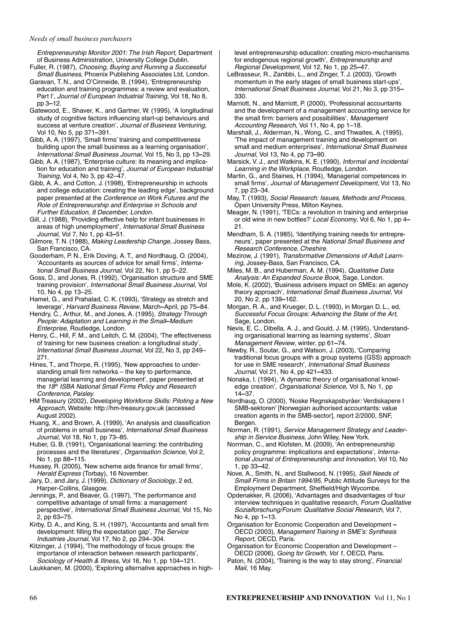Entrepreneurship Monitor 2001: The Irish Report, Department of Business Administration, University College Dublin.

- Fuller, R. (1987), Choosing, Buying and Running a Successful Small Business, Phoenix Publishing Associates Ltd, London. Garavan, T. N., and O'Cinneide, B. (1994), 'Entrepreneurship
- education and training programmes: a review and evaluation, Part I', Journal of European Industrial Training, Vol 18, No 8, pp 3**–**12.
- Gatewood, E., Shaver, K., and Gartner, W. (1995), 'A longitudinal study of cognitive factors influencing start-up behaviours and success at venture creation', Journal of Business Venturing, Vol 10, No 5, pp 371**–**391.
- Gibb, A. A. (1997), 'Small firms' training and competitiveness building upon the small business as a learning organisation', International Small Business Journal, Vol 15, No 3, pp 13**–**29.
- Gibb, A. A. (1987), 'Enterprise culture: its meaning and implication for education and training', Journal of European Industrial Training, Vol 4, No 3, pp 42–47.
- Gibb, A. A., and Cotton, J. (1998), 'Entrepreneurship in schools and college education: creating the leading edge', background paper presented at the Conference on Work Futures and the Role of Entrepreneurship and Enterprise in Schools and Further Education, 8 December, London.
- Gill, J. (1988), 'Providing effective help for infant businesses in areas of high unemployment', International Small Business Journal, Vol 7, No 1, pp 43**–**51.
- Gilmore, T. N. (1988), Making Leadership Change, Jossey Bass, San Francisco, CA.
- Gooderham, P. N., Erik Doving, A. T., and Nordhaug, O. (2004), 'Accountants as sources of advice for small firms', International Small Business Journal, Vol 22, No 1, pp 5–22.
- Goss, D., and Jones, R. (1992), 'Organisation structure and SME training provision', International Small Business Journal, Vol 10, No 4, pp 13–25.
- Hamel, G., and Prahalad, C. K. (1993), 'Strategy as stretch and leverage', Harvard Business Review, March**–**April, pp 75**–**84.
- Hendry, C., Arthur, M., and Jones, A. (1995), Strategy Through People: Adaptation and Learning in the Small**–**Medium Enterprise, Routledge, London.
- Henry, C., Hill, F. M., and Leitch, C. M. (2004), 'The effectiveness of training for new business creation: a longitudinal study', International Small Business Journal, Vol 22, No 3, pp 249– 271.
- Hines, T., and Thorpe, R. (1995), 'New approaches to understanding small firm networks – the key to performance, managerial learning and development', paper presented at the 18<sup>th</sup> ISBA National Small Firms Policy and Research Conference, Paisley.
- HM Treasury (2002), Developing Workforce Skills: Piloting a New Approach, Website: http://hm-treasury.gov.uk (accessed August 2002).
- Huang, X., and Brown, A. (1999), 'An analysis and classification of problems in small business', International Small Business Journal, Vol 18, No 1, pp 73–85.
- Huber, G. B. (1991), 'Organisational learning: the contributing processes and the literatures', Organisation Science, Vol 2, No 1, pp 88**–**115.
- Hussey, R. (2005), 'New scheme aids finance for small firms', Herald Express (Torbay), 16 November.
- Jary, D., and Jary, J. (1999), Dictionary of Sociology, 2 ed, Harper-Collins, Glasgow.
- Jennings, P., and Beaver, G. (1997), 'The performance and competitive advantage of small firms: a management perspective', International Small Business Journal, Vol 15, No 2, pp 63**–**75.
- Kirby, D. A., and King, S. H. (1997), 'Accountants and small firm development: filling the expectation gap', The Service Industries Journal, Vol 17, No 2, pp 294–304.
- Kitzinger, J. (1994), 'The methodology of focus groups: the importance of interaction between research participants', Sociology of Health & Illness, Vol 16, No 1, pp 104**–**121.
- Laukkanen, M. (2000), 'Exploring alternative approaches in high-

level entrepreneurship education: creating micro-mechanisms for endogenous regional growth', Entrepreneurship and Regional Development, Vol 12, No 1, pp 25**–**47.

- LeBrasseur, R., Zanibbi, L., and Zinger, T. J. (2003), 'Growth momentum in the early stages of small business start-ups', International Small Business Journal, Vol 21, No 3, pp 315**–** 330.
- Marriott, N., and Marriott, P. (2000), 'Professional accountants and the development of a management accounting service for the small firm: barriers and possibilities', Management Accounting Research, Vol 11, No 4, pp 1-18.
- Marshall, J., Alderman, N., Wong, C., and Thwaites, A. (1995), 'The impact of management training and development on small and medium enterprises', International Small Business Journal, Vol 13, No 4, pp 73**–**90.
- Marsick, V. J., and Watkins, K. E. (1990), Informal and Incidental Learning in the Workplace, Routledge, London.
- Martin, G., and Staines, H. (1994), 'Managerial competences in small firms', Journal of Management Development, Vol 13, No 7, pp 23–34.
- May, T. (1993), Social Research: Issues, Methods and Process, Open University Press, Milton Keynes.
- Meager, N. (1991), 'TECs: a revolution in training and enterprise or old wine in new bottles?' Local Economy, Vol 6, No 1, pp 4**–** 21.
- Mendham, S. A. (1985), 'Identifying training needs for entrepreneurs', paper presented at the National Small Business and Research Conference, Cheshire.
- Mezirow, J. (1991), Transformative Dimensions of Adult Learning, Jossey-Bass, San Francisco, CA.
- Miles, M. B., and Huberman, A. M. (1994), Qualitative Data Analysis: An Expanded Source Book, Sage, London.
- Mole, K. (2002), 'Business advisers impact on SMEs: an agency theory approach', International Small Business Journal, Vol 20, No 2, pp 139**–**162.
- Morgan, R. A., and Krueger, D. L. (1993), in Morgan D. L., ed, Successful Focus Groups: Advancing the State of the Art, Sage, London.
- Nevis, E. C., Dibella, A. J., and Gould, J. M. (1995), 'Understanding organisational learning as learning systems', Sloan Management Review, winter, pp 61**–**74.
- Newby, R., Soutar, G., and Watson, J. (2003), 'Comparing traditional focus groups with a group systems (GSS) approach for use in SME research', International Small Business Journal, Vol 21, No 4, pp 421**–**433.
- Nonaka, I. (1994), 'A dynamic theory of organisational knowledge creation<sup>'</sup>, Organisational Science, Vol 5, No 1, pp 14**–**37.
- Nordhaug, O. (2000), 'Noske Regnskapsbyråer: Verdiskapere I SMB-sektoren' [Norwegian authorised accountants: value creation agents in the SMB-sector], report 2/2000, SNF, Bergen.
- Norman, R. (1991), Service Management Strategy and Leadership in Service Business, John Wiley, New York.
- Norrman, C., and Klofsten, M. (2009), 'An entrepreneurship policy programme: implications and expectations', International Journal of Entrepreneurship and Innovation, Vol 10, No 1, pp 33**–**42.
- Nove, A., Smith, N., and Stallwood, N. (1995), Skill Needs of Small Firms in Britain 1994/95, Public Attitude Surveys for the Employment Department, Sheffield/High Wycombe.
- Opdenakker, R. (2006), 'Advantages and disadvantages of four interview techniques in qualitative research, Forum Qualitative Sozialforschung/Forum: Qualitative Social Research, Vol 7, No 4, pp 1**–**13.
- Organisation for Economic Cooperation and Development **–** OECD (2003), Management Training in SME's: Synthesis Report, OECD, Paris.
- Organisation for Economic Cooperation and Development OECD (2006), Going for Growth, Vol 1, OECD, Paris.
- Paton, N. (2004), 'Training is the way to stay strong', Financial Mail, 16 May.